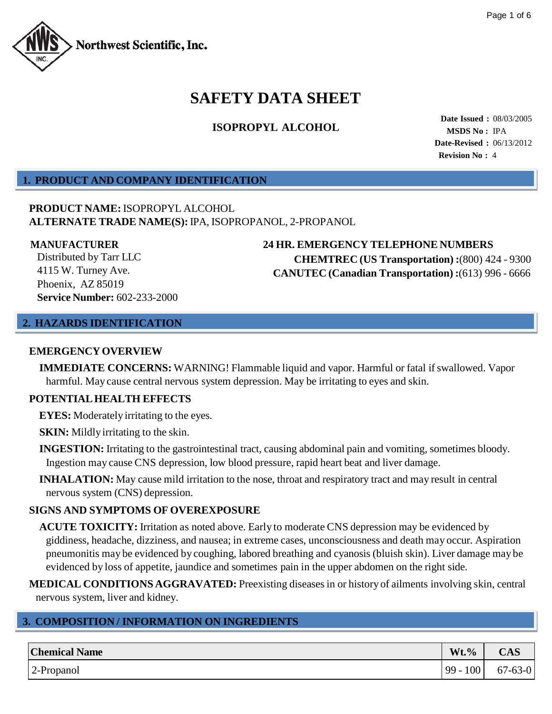

# **SAFETY DATA SHEET**

## **ISOPROPYL ALCOHOL**

**Date Issued :** 08/03/2005 **MSDS No :** IPA **Date-Revised :** 06/13/2012 **Revision No :** 4

## **1. PRODUCT AND COMPANY IDENTIFICATION**

## **PRODUCT NAME:** ISOPROPYL ALCOHOL **ALTERNATE TRADE NAME(S):** IPA, ISOPROPANOL, 2-PROPANOL

Distributed by Tarr LLC 4115 W. Turney Ave. Phoenix, AZ 85019 **Service Number:** 602-233-2000

## **MANUFACTURER 24 HR. EMERGENCY TELEPHONE NUMBERS CHEMTREC (US Transportation) :**(800) 424 - 9300 **CANUTEC (Canadian Transportation) :**(613) 996 - 6666

### **2. HAZARDS IDENTIFICATION**

#### **EMERGENCYOVERVIEW**

**IMMEDIATE CONCERNS:** WARNING! Flammable liquid and vapor. Harmful or fatal if swallowed. Vapor harmful. May cause central nervous system depression. May be irritating to eyes and skin.

### **POTENTIALHEALTH EFFECTS**

**EYES:** Moderately irritating to the eyes.

**SKIN:** Mildly irritating to the skin.

- **INGESTION:** Irritating to the gastrointestinal tract, causing abdominal pain and vomiting, sometimes bloody. Ingestion may cause CNS depression, low blood pressure, rapid heart beat and liver damage.
- **INHALATION:** May cause mild irritation to the nose, throat and respiratory tract and may result in central nervous system (CNS) depression.

## **SIGNS AND SYMPTOMS OF OVEREXPOSURE**

**ACUTE TOXICITY:** Irritation as noted above. Early to moderate CNS depression may be evidenced by giddiness, headache, dizziness, and nausea; in extreme cases, unconsciousness and death may occur. Aspiration pneumonitis may be evidenced by coughing, labored breathing and cyanosis (bluish skin). Liver damage may be evidenced by loss of appetite, jaundice and sometimes pain in the upper abdomen on the right side.

**MEDICAL CONDITIONS AGGRAVATED:** Preexisting diseasesin or history of ailments involving skin, central nervous system, liver and kidney.

## **3. COMPOSITION / INFORMATION ON INGREDIENTS**

| <b>Chemical Name</b> | $Wt.$ %       | CAS           |
|----------------------|---------------|---------------|
| 2-Propanol           | 100<br>$99 -$ | $67 - 63 - 0$ |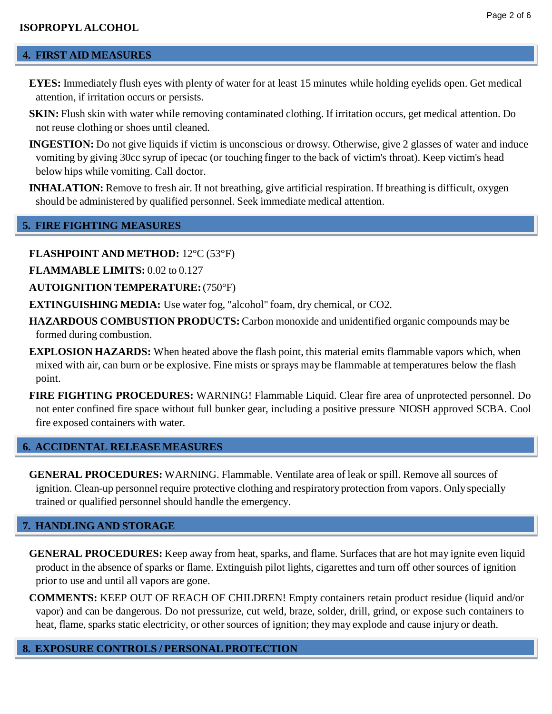## **4. FIRST AID MEASURES**

- **EYES:** Immediately flush eyes with plenty of water for at least 15 minutes while holding eyelids open. Get medical attention, if irritation occurs or persists.
- **SKIN:** Flush skin with water while removing contaminated clothing. If irritation occurs, get medical attention. Do not reuse clothing or shoes until cleaned.
- **INGESTION:** Do not give liquids if victim is unconscious or drowsy. Otherwise, give 2 glasses of water and induce vomiting by giving 30cc syrup of ipecac (or touching finger to the back of victim's throat). Keep victim's head below hips while vomiting. Call doctor.
- **INHALATION:** Remove to fresh air. If not breathing, give artificial respiration. If breathing is difficult, oxygen should be administered by qualified personnel. Seek immediate medical attention.

## **5. FIRE FIGHTING MEASURES**

- **FLASHPOINT AND METHOD:** 12°C (53°F)
- **FLAMMABLE LIMITS:** 0.02 to 0.127
- **AUTOIGNITION TEMPERATURE:**(750°F)
- **EXTINGUISHING MEDIA:** Use water fog, "alcohol" foam, dry chemical, or CO2.
- **HAZARDOUS COMBUSTION PRODUCTS:** Carbon monoxide and unidentified organic compounds may be formed during combustion.
- **EXPLOSION HAZARDS:** When heated above the flash point, this material emits flammable vapors which, when mixed with air, can burn or be explosive. Fine mists or sprays may be flammable at temperatures below the flash point.
- **FIRE FIGHTING PROCEDURES:** WARNING! Flammable Liquid. Clear fire area of unprotected personnel. Do not enter confined fire space without full bunker gear, including a positive pressure NIOSH approved SCBA. Cool fire exposed containers with water.

## **6. ACCIDENTAL RELEASE MEASURES**

**GENERAL PROCEDURES:** WARNING. Flammable. Ventilate area of leak or spill. Remove all sources of ignition. Clean-up personnel require protective clothing and respiratory protection from vapors. Only specially trained or qualified personnel should handle the emergency.

## **7. HANDLING AND STORAGE**

- **GENERAL PROCEDURES:** Keep away from heat, sparks, and flame. Surfaces that are hot may ignite even liquid product in the absence of sparks or flame. Extinguish pilot lights, cigarettes and turn off other sources of ignition prior to use and until all vapors are gone.
- **COMMENTS:** KEEP OUT OF REACH OF CHILDREN! Empty containers retain product residue (liquid and/or vapor) and can be dangerous. Do not pressurize, cut weld, braze, solder, drill, grind, or expose such containers to heat, flame, sparks static electricity, or other sources of ignition; theymay explode and cause injury or death.

## **8. EXPOSURE CONTROLS / PERSONAL PROTECTION**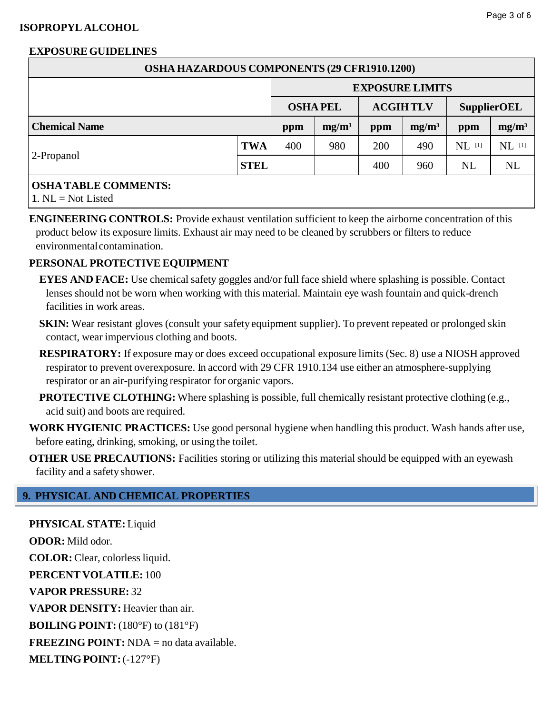## **ISOPROPYL ALCOHOL**

## Page 3 of 6

## **EXPOSUREGUIDELINES**

| <b>OSHA HAZARDOUS COMPONENTS (29 CFR1910.1200)</b> |             |                        |                |                 |          |                    |          |  |  |  |
|----------------------------------------------------|-------------|------------------------|----------------|-----------------|----------|--------------------|----------|--|--|--|
|                                                    |             | <b>EXPOSURE LIMITS</b> |                |                 |          |                    |          |  |  |  |
|                                                    |             |                        | <b>OSHAPEL</b> | <b>ACGIHTLV</b> |          | <b>SupplierOEL</b> |          |  |  |  |
| <b>Chemical Name</b>                               |             | ppm                    | $mg/m^3$       | ppm             | $mg/m^3$ | ppm                | $mg/m^3$ |  |  |  |
| 2-Propanol                                         | <b>TWA</b>  | 400                    | 980            | 200             | 490      | $NL$ [1]           | NL [1]   |  |  |  |
|                                                    | <b>STEL</b> |                        |                | 400             | 960      | <b>NL</b>          | NL       |  |  |  |
|                                                    |             |                        |                |                 |          |                    |          |  |  |  |

## **OSHA TABLE COMMENTS:**

**1**. NL = Not Listed

**ENGINEERING CONTROLS:** Provide exhaust ventilation sufficient to keep the airborne concentration of this product below its exposure limits. Exhaust air may need to be cleaned by scrubbers or filters to reduce environmentalcontamination.

## **PERSONAL PROTECTIVE EQUIPMENT**

- **EYES AND FACE:** Use chemical safety goggles and/or full face shield where splashing is possible. Contact lenses should not be worn when working with this material. Maintain eye wash fountain and quick-drench facilities in work areas.
- **SKIN:** Wear resistant gloves (consult your safety equipment supplier). To prevent repeated or prolonged skin contact, wear impervious clothing and boots.
- **RESPIRATORY:** If exposure may or does exceed occupational exposure limits (Sec. 8) use a NIOSH approved respirator to prevent overexposure. In accord with 29 CFR 1910.134 use either an atmosphere-supplying respirator or an air-purifying respirator for organic vapors.
- **PROTECTIVE CLOTHING:** Where splashing is possible, full chemically resistant protective clothing (e.g., acid suit) and boots are required.
- **WORK HYGIENIC PRACTICES:** Use good personal hygiene when handling this product. Wash hands after use, before eating, drinking, smoking, or using the toilet.
- **OTHER USE PRECAUTIONS:** Facilities storing or utilizing this material should be equipped with an eyewash facility and a safety shower.

## **9. PHYSICAL AND CHEMICAL PROPERTIES**

**PHYSICAL STATE:** Liquid **ODOR:** Mild odor. **COLOR:** Clear, colorlessliquid. **PERCENT VOLATILE:** 100 **VAPOR PRESSURE:** 32 **VAPOR DENSITY:** Heavier than air. **BOILING POINT:** (180°F) to (181°F) **FREEZING POINT:** NDA = no data available. **MELTING POINT:**(-127°F)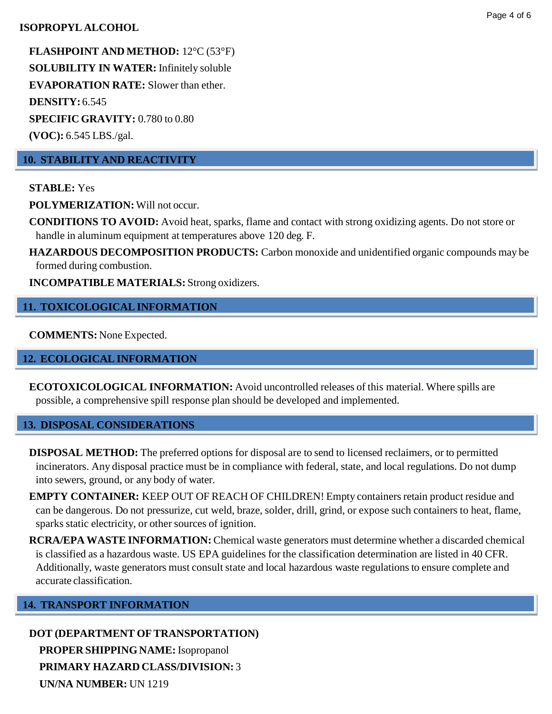## **ISOPROPYL ALCOHOL**

**FLASHPOINT AND METHOD:** 12°C (53°F) **SOLUBILITY IN WATER:** Infinitely soluble **EVAPORATION RATE:** Slower than ether. **DENSITY:** 6.545 **SPECIFIC GRAVITY:** 0.780 to 0.80

**(VOC):** 6.545 LBS./gal.

## **10. STABILITY AND REACTIVITY**

**STABLE:** Yes

**POLYMERIZATION:**Will not occur.

**CONDITIONS TO AVOID:** Avoid heat, sparks, flame and contact with strong oxidizing agents. Do not store or handle in aluminum equipment at temperatures above 120 deg. F.

**HAZARDOUS DECOMPOSITION PRODUCTS:** Carbon monoxide and unidentified organic compounds may be formed during combustion.

**INCOMPATIBLE MATERIALS:** Strong oxidizers.

## **11. TOXICOLOGICALINFORMATION**

**COMMENTS:** None Expected.

## **12. ECOLOGICAL INFORMATION**

**ECOTOXICOLOGICAL INFORMATION:** Avoid uncontrolled releases of this material. Where spills are possible, a comprehensive spill response plan should be developed and implemented.

### **13. DISPOSAL CONSIDERATIONS**

**DISPOSAL METHOD:** The preferred options for disposal are to send to licensed reclaimers, or to permitted incinerators. Any disposal practice must be in compliance with federal, state, and local regulations. Do not dump into sewers, ground, or any body of water.

**EMPTY CONTAINER:** KEEP OUT OF REACH OF CHILDREN! Empty containers retain product residue and can be dangerous. Do not pressurize, cut weld, braze, solder, drill, grind, or expose such containers to heat, flame, sparks static electricity, or other sources of ignition.

**RCRA/EPA WASTE INFORMATION:** Chemical waste generators must determine whether a discarded chemical is classified as a hazardous waste. US EPA guidelines for the classification determination are listed in 40 CFR. Additionally, waste generators must consult state and local hazardous waste regulations to ensure complete and accurate classification.

## **14. TRANSPORT INFORMATION**

**DOT (DEPARTMENT OF TRANSPORTATION) PROPER SHIPPING NAME:** Isopropanol **PRIMARY HAZARD CLASS/DIVISION:** 3 **UN/NA NUMBER:** UN 1219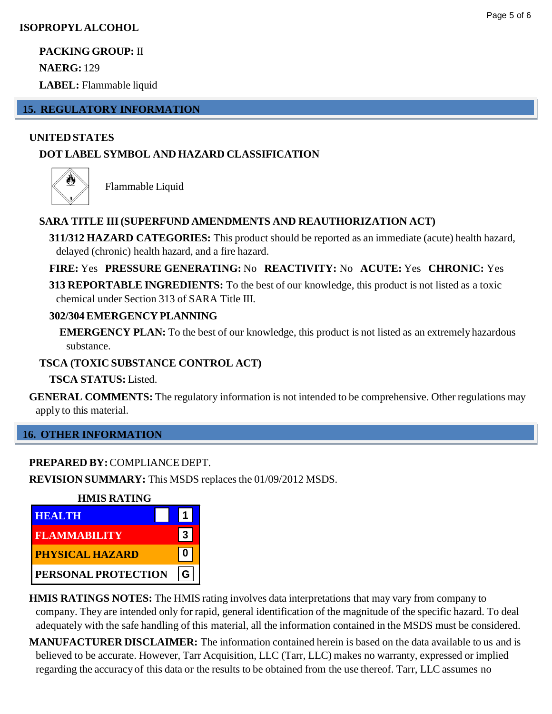**PACKING GROUP:** II

**NAERG:** 129

**LABEL:** Flammable liquid

## **15. REGULATORY INFORMATION**

## **UNITEDSTATES**

## **DOT LABEL SYMBOL AND HAZARD CLASSIFICATION**



Flammable Liquid

## **SARA TITLE III(SUPERFUND AMENDMENTS AND REAUTHORIZATION ACT)**

**311/312 HAZARD CATEGORIES:** This product should be reported as an immediate (acute) health hazard, delayed (chronic) health hazard, and a fire hazard.

**FIRE:** Yes **PRESSURE GENERATING:** No **REACTIVITY:** No **ACUTE:** Yes **CHRONIC:** Yes

**313 REPORTABLE INGREDIENTS:** To the best of our knowledge, this product is not listed as a toxic chemical under Section 313 of SARA Title III.

## **302/304 EMERGENCY PLANNING**

**EMERGENCY PLAN:** To the best of our knowledge, this product is not listed as an extremely hazardous substance.

## **TSCA (TOXIC SUBSTANCE CONTROL ACT)**

**TSCA STATUS:** Listed.

**GENERAL COMMENTS:** The regulatory information is not intended to be comprehensive. Other regulations may apply to this material.

## **16. OTHER INFORMATION**

## **PREPARED BY:**COMPLIANCE DEPT.

**REVISION SUMMARY:** This MSDS replacesthe 01/09/2012 MSDS.



**HMIS RATINGS NOTES:** The HMIS rating involves data interpretations that may vary from company to company. They are intended only for rapid, general identification of the magnitude of the specific hazard. To deal adequately with the safe handling of this material, all the information contained in the MSDS must be considered.

**MANUFACTURER DISCLAIMER:** The information contained herein is based on the data available to us and is believed to be accurate. However, Tarr Acquisition, LLC (Tarr, LLC) makes no warranty, expressed or implied regarding the accuracy of this data or the results to be obtained from the use thereof. Tarr, LLC assumes no